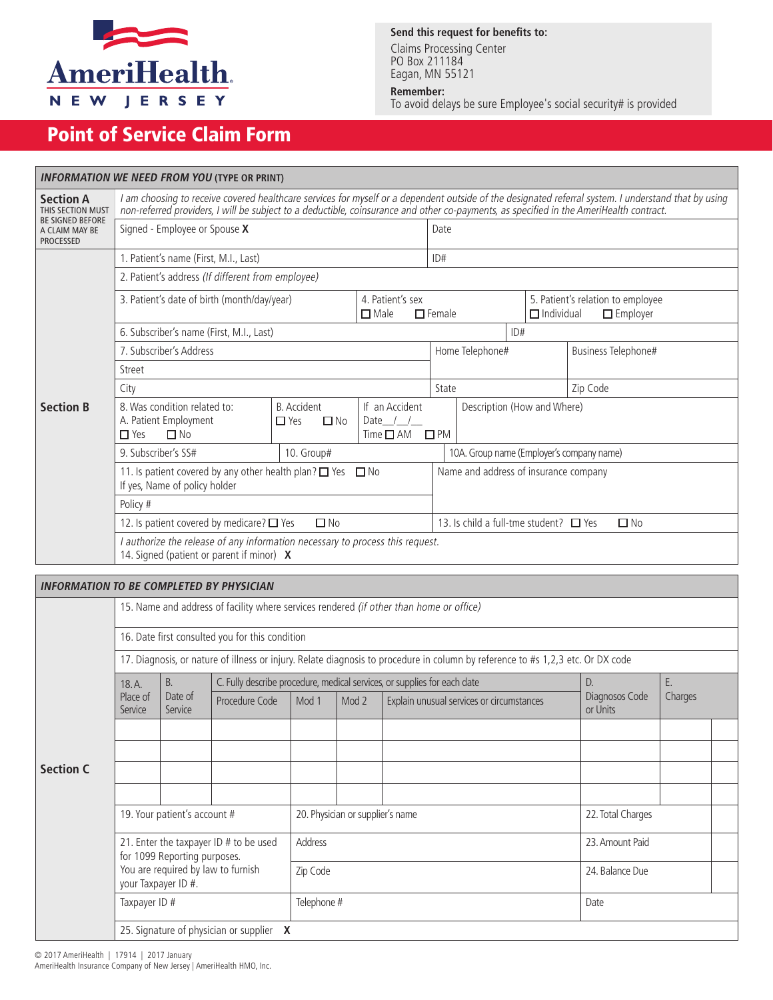

### **Send this request for benefits to:**

Claims Processing Center PO Box 211184 Eagan, MN 55121

#### **Remember:**

To avoid delays be sure Employee's social security# is provided

# Point of Service Claim Form

| <b>INFORMATION WE NEED FROM YOU (TYPE OR PRINT)</b>           |                                                                                                                                                                                                                                                                                                 |                                    |                                                          |          |                                                                           |                                           |  |  |  |
|---------------------------------------------------------------|-------------------------------------------------------------------------------------------------------------------------------------------------------------------------------------------------------------------------------------------------------------------------------------------------|------------------------------------|----------------------------------------------------------|----------|---------------------------------------------------------------------------|-------------------------------------------|--|--|--|
| <b>Section A</b><br>THIS SECTION MUST                         | I am choosing to receive covered healthcare services for myself or a dependent outside of the designated referral system. I understand that by using<br>non-referred providers, I will be subject to a deductible, coinsurance and other co-payments, as specified in the AmeriHealth contract. |                                    |                                                          |          |                                                                           |                                           |  |  |  |
| <b>BE SIGNED BEFORE</b><br>A CLAIM MAY BE<br><b>PROCESSED</b> | Signed - Employee or Spouse X                                                                                                                                                                                                                                                                   |                                    | Date                                                     |          |                                                                           |                                           |  |  |  |
| <b>Section B</b>                                              | 1. Patient's name (First, M.I., Last)                                                                                                                                                                                                                                                           |                                    | ID#                                                      |          |                                                                           |                                           |  |  |  |
|                                                               | 2. Patient's address (If different from employee)                                                                                                                                                                                                                                               |                                    |                                                          |          |                                                                           |                                           |  |  |  |
|                                                               | 3. Patient's date of birth (month/day/year)                                                                                                                                                                                                                                                     | 4. Patient's sex<br>$\square$ Male | $\Box$ Female                                            |          | 5. Patient's relation to employee<br>$\Box$ Individual<br>$\Box$ Employer |                                           |  |  |  |
|                                                               | 6. Subscriber's name (First, M.I., Last)<br>ID#                                                                                                                                                                                                                                                 |                                    |                                                          |          |                                                                           |                                           |  |  |  |
|                                                               | 7. Subscriber's Address                                                                                                                                                                                                                                                                         |                                    | Home Telephone#                                          |          |                                                                           | Business Telephone#                       |  |  |  |
|                                                               | Street                                                                                                                                                                                                                                                                                          |                                    |                                                          |          |                                                                           |                                           |  |  |  |
|                                                               | City                                                                                                                                                                                                                                                                                            |                                    | State                                                    | Zip Code |                                                                           |                                           |  |  |  |
|                                                               | 8. Was condition related to:<br>A. Patient Employment<br>$\Box$ Yes<br>$\Box$ No                                                                                                                                                                                                                | If an Accident<br>Date $/$ /       | Description (How and Where)<br>$Time \Box AM \Box PM$    |          |                                                                           |                                           |  |  |  |
|                                                               | 9. Subscriber's SS#                                                                                                                                                                                                                                                                             | 10. Group#                         |                                                          |          |                                                                           | 10A. Group name (Employer's company name) |  |  |  |
|                                                               | 11. Is patient covered by any other health plan? $\Box$ Yes $\Box$ No<br>If yes, Name of policy holder                                                                                                                                                                                          |                                    | Name and address of insurance company                    |          |                                                                           |                                           |  |  |  |
|                                                               | Policy #                                                                                                                                                                                                                                                                                        |                                    |                                                          |          |                                                                           |                                           |  |  |  |
|                                                               | 12. Is patient covered by medicare? $\Box$ Yes                                                                                                                                                                                                                                                  |                                    | 13. Is child a full-tme student? $\Box$ Yes<br>$\Box$ No |          |                                                                           |                                           |  |  |  |
|                                                               | I authorize the release of any information necessary to process this request.<br>14. Signed (patient or parent if minor) X                                                                                                                                                                      |                                    |                                                          |          |                                                                           |                                           |  |  |  |
|                                                               |                                                                                                                                                                                                                                                                                                 |                                    |                                                          |          |                                                                           |                                           |  |  |  |
|                                                               | <b>INFORMATION TO BE COMPLETED BY PHYSICIAN</b>                                                                                                                                                                                                                                                 |                                    |                                                          |          |                                                                           |                                           |  |  |  |
|                                                               | 15. Name and address of facility where services rendered (if other than home or office)                                                                                                                                                                                                         |                                    |                                                          |          |                                                                           |                                           |  |  |  |
|                                                               | 16. Date first consulted you for this condition                                                                                                                                                                                                                                                 |                                    |                                                          |          |                                                                           |                                           |  |  |  |

17. Diagnosis, or nature of illness or injury. Relate diagnosis to procedure in column by reference to #s 1,2,3 etc. Or DX code

|                  | 18.A.                                                                                                                                                                                | <b>B.</b>          | C. Fully describe procedure, medical services, or supplies for each date |             | D.                               | Е.                                        |                            |         |
|------------------|--------------------------------------------------------------------------------------------------------------------------------------------------------------------------------------|--------------------|--------------------------------------------------------------------------|-------------|----------------------------------|-------------------------------------------|----------------------------|---------|
|                  | Place of<br>Service                                                                                                                                                                  | Date of<br>Service | Procedure Code                                                           | Mod 1       | Mod 2                            | Explain unusual services or circumstances | Diagnosos Code<br>or Units | Charges |
|                  |                                                                                                                                                                                      |                    |                                                                          |             |                                  |                                           |                            |         |
|                  |                                                                                                                                                                                      |                    |                                                                          |             |                                  |                                           |                            |         |
| <b>Section C</b> |                                                                                                                                                                                      |                    |                                                                          |             |                                  |                                           |                            |         |
|                  |                                                                                                                                                                                      |                    |                                                                          |             |                                  |                                           |                            |         |
|                  | 19. Your patient's account #<br>21. Enter the taxpayer ID # to be used<br>for 1099 Reporting purposes.<br>You are required by law to furnish<br>your Taxpayer ID #.<br>Taxpayer ID # |                    |                                                                          |             | 20. Physician or supplier's name |                                           | 22. Total Charges          |         |
|                  |                                                                                                                                                                                      |                    |                                                                          | Address     |                                  |                                           | 23. Amount Paid            |         |
|                  |                                                                                                                                                                                      |                    |                                                                          | Zip Code    |                                  |                                           | 24. Balance Due            |         |
|                  |                                                                                                                                                                                      |                    |                                                                          | Telephone # |                                  |                                           | Date                       |         |
|                  | 25. Signature of physician or supplier $\bm{X}$                                                                                                                                      |                    |                                                                          |             |                                  |                                           |                            |         |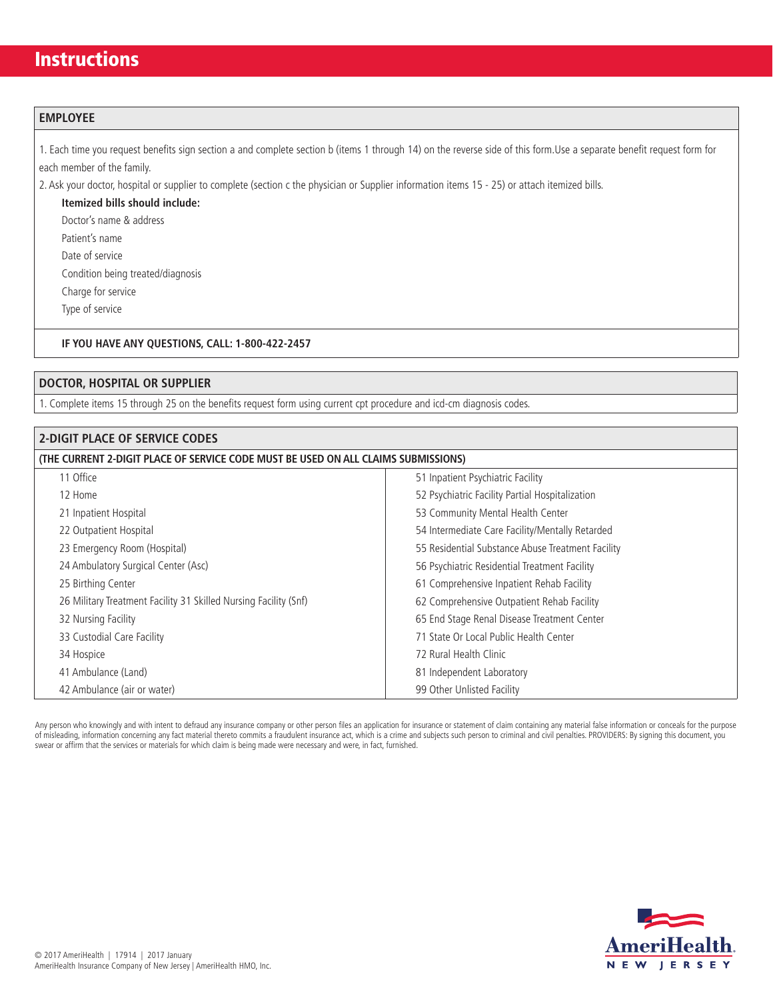## **Instructions**

### **EMPLOYEE**

1. Each time you request benefits sign section a and complete section b (items 1 through 14) on the reverse side of this form.Use a separate benefit request form for each member of the family.

2. Ask your doctor, hospital or supplier to complete (section c the physician or Supplier information items 15 - 25) or attach itemized bills.

**Itemized bills should include:** Doctor's name & address

Patient's name

Date of service

Condition being treated/diagnosis

Charge for service

Type of service

#### **IF YOU HAVE ANY QUESTIONS, CALL: 1-800-422-2457**

### **DOCTOR, HOSPITAL OR SUPPLIER**

1. Complete items 15 through 25 on the benefits request form using current cpt procedure and icd-cm diagnosis codes.

| <b>2-DIGIT PLACE OF SERVICE CODES</b>                                              |                                                   |  |  |  |  |
|------------------------------------------------------------------------------------|---------------------------------------------------|--|--|--|--|
| (THE CURRENT 2-DIGIT PLACE OF SERVICE CODE MUST BE USED ON ALL CLAIMS SUBMISSIONS) |                                                   |  |  |  |  |
| 11 Office                                                                          | 51 Inpatient Psychiatric Facility                 |  |  |  |  |
| 12 Home                                                                            | 52 Psychiatric Facility Partial Hospitalization   |  |  |  |  |
| 21 Inpatient Hospital                                                              | 53 Community Mental Health Center                 |  |  |  |  |
| 22 Outpatient Hospital                                                             | 54 Intermediate Care Facility/Mentally Retarded   |  |  |  |  |
| 23 Emergency Room (Hospital)                                                       | 55 Residential Substance Abuse Treatment Facility |  |  |  |  |
| 24 Ambulatory Surgical Center (Asc)                                                | 56 Psychiatric Residential Treatment Facility     |  |  |  |  |
| 25 Birthing Center                                                                 | 61 Comprehensive Inpatient Rehab Facility         |  |  |  |  |
| 26 Military Treatment Facility 31 Skilled Nursing Facility (Snf)                   | 62 Comprehensive Outpatient Rehab Facility        |  |  |  |  |
| 32 Nursing Facility                                                                | 65 End Stage Renal Disease Treatment Center       |  |  |  |  |
| 33 Custodial Care Facility                                                         | 71 State Or Local Public Health Center            |  |  |  |  |
| 34 Hospice                                                                         | 72 Rural Health Clinic                            |  |  |  |  |
| 41 Ambulance (Land)                                                                | 81 Independent Laboratory                         |  |  |  |  |
| 42 Ambulance (air or water)                                                        | 99 Other Unlisted Facility                        |  |  |  |  |

Any person who knowingly and with intent to defraud any insurance company or other person files an application for insurance or statement of claim containing any material false information or conceals for the purpose of misleading, information concerning any fact material thereto commits a fraudulent insurance act, which is a crime and subjects such person to criminal and civil penalties. PROVIDERS: By signing this document, you swear or affirm that the services or materials for which claim is being made were necessary and were, in fact, furnished.

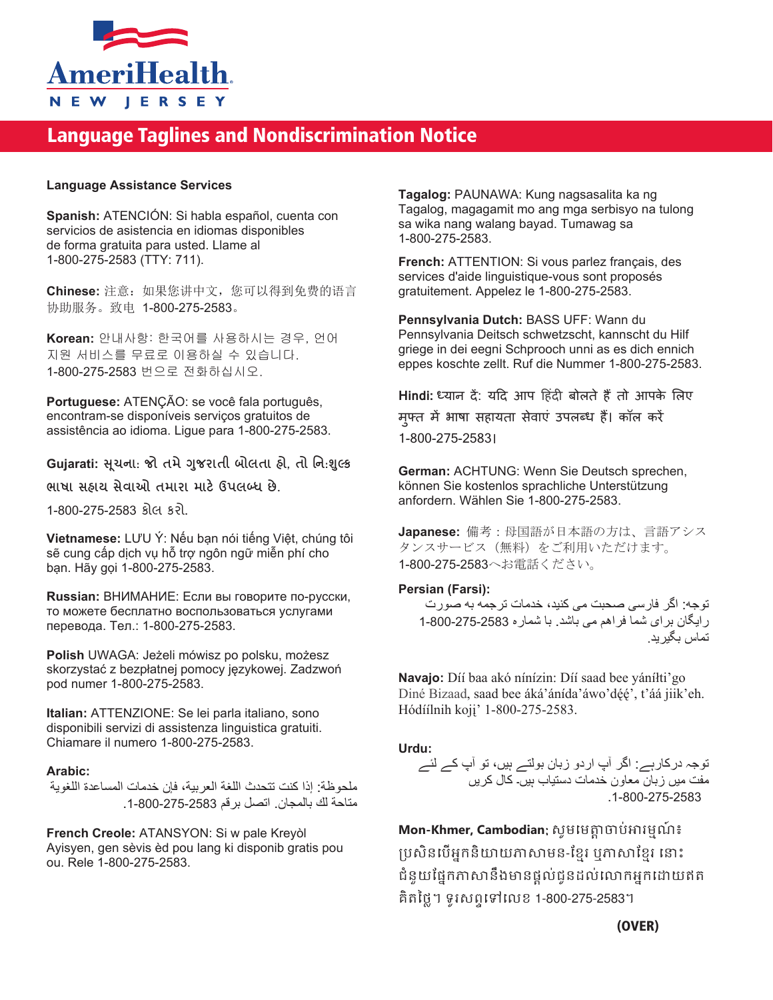

# Language Taglines and Nondiscrimination Notice

### **Language Assistance Services**

**Spanish:** ATENCIÓN: Si habla español, cuenta con servicios de asistencia en idiomas disponibles de forma gratuita para usted. Llame al 1-800-275-2583 (TTY: 711).

**Chinese:** 注意:如果您讲中文,您可以得到免费的语言 协助服务。致电 1-800-275-2583。

**Korean:** 안내사항: 한국어를 사용하시는 경우, 언어 지원 서비스를 무료로 이용하실 수 있습니다. 1-800-275-2583 번으로 전화하십시오.

**Portuguese:** ATENÇÃO: se você fala português, encontram-se disponíveis serviços gratuitos de assistência ao idioma. Ligue para 1-800-275-2583.

### **Gujarati: �ચના ૂ** : **જો તમે�જરાતી ુ બોલતા હો**, **તો િન**:**���ુ**

**ભાષા સહાય સેવાઓ તમારા માટ���લ�� છે**.

1-800-275-2583 કોલ કરો.

**Vietnamese:** LƯU Ý: Nếu bạn nói tiếng Việt, chúng tôi sẽ cung cấp dịch vụ hỗ trợ ngôn ngữ miễn phí cho bạn. Hãy gọi 1-800-275-2583.

**Russian:** ВНИМАНИЕ: Если вы говорите по-русски, то можете бесплатно воспользоваться услугами перевода. Тел.: 1-800-275-2583.

**Polish** UWAGA: Jeżeli mówisz po polsku, możesz skorzystać z bezpłatnej pomocy językowej. Zadzwoń pod numer 1-800-275-2583.

**Italian:** ATTENZIONE: Se lei parla italiano, sono disponibili servizi di assistenza linguistica gratuiti. Chiamare il numero 1-800-275-2583.

### **Arabic:**

ملحوظة: إذا كنت تتحدث اللغة العربية، فإن خدمات المساعدة اللغوية متاحة لك بالمجان. اتصل برقم .1-800-275-2583

**French Creole:** ATANSYON: Si w pale Kreyòl Ayisyen, gen sèvis èd pou lang ki disponib gratis pou ou. Rele 1-800-275-2583.

**Tagalog:** PAUNAWA: Kung nagsasalita ka ng Tagalog, magagamit mo ang mga serbisyo na tulong sa wika nang walang bayad. Tumawag sa 1-800-275-2583.

**French:** ATTENTION: Si vous parlez français, des services d'aide linguistique-vous sont proposés gratuitement. Appelez le 1-800-275-2583.

**Pennsylvania Dutch:** BASS UFF: Wann du Pennsylvania Deitsch schwetzscht, kannscht du Hilf griege in dei eegni Schprooch unni as es dich ennich eppes koschte zellt. Ruf die Nummer 1-800-275-2583.

Hindi: ध्यान दें: यदि आप हिंदी बोलते हैं तो आपके लिए मुफ्त में भाषा सहायता सेवाएं उपलब्ध है। कॉल करें 1-800-275-2583।

**German:** ACHTUNG: Wenn Sie Deutsch sprechen, können Sie kostenlos sprachliche Unterstützung anfordern. Wählen Sie 1-800-275-2583.

**Japanese:** 備考:母国語が日本語の方は、言語アシス タンスサービス(無料)をご利用いただけます。 1-800-275-2583へお電話ください。

### **Persian (Farsi):**

توجه: اگر فارسی صحبت می کنيد، خدمات ترجمه به صورت رايگان برای شما فراھم می باشد. با شماره 1-800-275-2583 تماس بگيريد.

**Navajo:** Díí baa akó nínízin: Díí saad bee yáníłti'go Diné Bizaad, saad bee áká'ánída'áwo'déé', t'áá jiik'eh. Hódíílnih koji' 1-800-275-2583.

**Urdu:**

توجہ درکارہے: اگر آپ اردو زبان بولتے ہيں، تو آپ کے لئے مفت ميں زبان معاون خدمات دستياب ہيں۔ کال کريں .1-800-275-2583

**Mon-Khmer, Cambodian**: សូ�េ��្តចប់�រ�មណ៍៖ ប្រសិនបើអ្នកនិយាយភាសាមន-ខ្មែរ ឬភាសាខ្មែរ នោះ ជំនួយផ្នែកភាសានឹងមានផ្តល់់ជូនដល់លោកអ្នកដោយឥត គិតៃថ្ល។ ទូរសពទេទេលខ 1-800-275-2583។

(OVER)